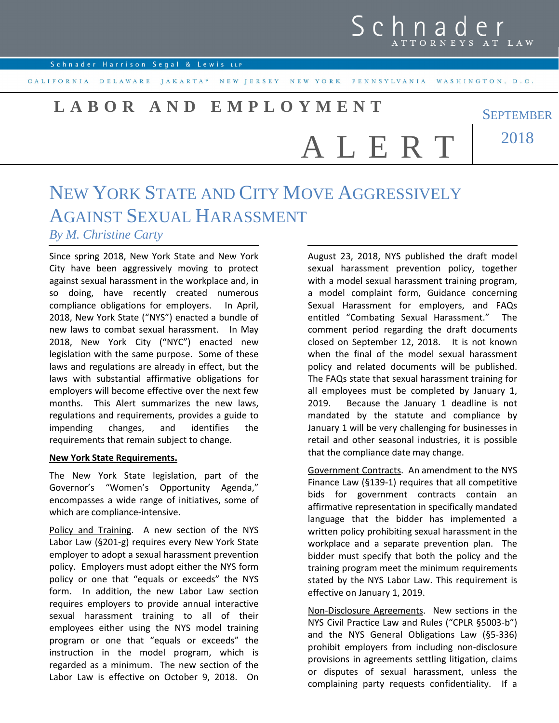## Schnad TTORNEYS AT LAW

**SEPTEMBER** 

Schnader Harrison Segal & Lewis LLP

CALIFORNIA DELAWARE JAKARTA\* NEW JERSEY NEW YORK PENNSYLVANIA WASHINGTON, D.C.

# **L A B O R A N D E M P L O Y M E N T**

2018 A L E R T

### NEW YORK STATE AND CITY MOVE AGGRESSIVELY AGAINST SEXUAL HARASSMENT *By M. Christine Carty*

Since spring 2018, New York State and New York City have been aggressively moving to protect against sexual harassment in the workplace and, in so doing, have recently created numerous compliance obligations for employers. In April, 2018, New York State ("NYS") enacted a bundle of new laws to combat sexual harassment. In May 2018, New York City ("NYC") enacted new legislation with the same purpose. Some of these laws and regulations are already in effect, but the laws with substantial affirmative obligations for employers will become effective over the next few months. This Alert summarizes the new laws, regulations and requirements, provides a guide to impending changes, and identifies the requirements that remain subject to change.

#### **New York State Requirements.**

The New York State legislation, part of the Governor's "Women's Opportunity Agenda," encompasses a wide range of initiatives, some of which are compliance-intensive.

Policy and Training. A new section of the NYS Labor Law (§201-g) requires every New York State employer to adopt a sexual harassment prevention policy. Employers must adopt either the NYS form policy or one that "equals or exceeds" the NYS form. In addition, the new Labor Law section requires employers to provide annual interactive sexual harassment training to all of their employees either using the NYS model training program or one that "equals or exceeds" the instruction in the model program, which is regarded as a minimum. The new section of the Labor Law is effective on October 9, 2018. On August 23, 2018, NYS published the draft model sexual harassment prevention policy, together with a model sexual harassment training program, a model complaint form, Guidance concerning Sexual Harassment for employers, and FAQs entitled "Combating Sexual Harassment." The comment period regarding the draft documents closed on September 12, 2018. It is not known when the final of the model sexual harassment policy and related documents will be published. The FAQs state that sexual harassment training for all employees must be completed by January 1, 2019. Because the January 1 deadline is not mandated by the statute and compliance by January 1 will be very challenging for businesses in retail and other seasonal industries, it is possible that the compliance date may change.

Government Contracts. An amendment to the NYS Finance Law (§139-1) requires that all competitive bids for government contracts contain an affirmative representation in specifically mandated language that the bidder has implemented a written policy prohibiting sexual harassment in the workplace and a separate prevention plan. The bidder must specify that both the policy and the training program meet the minimum requirements stated by the NYS Labor Law. This requirement is effective on January 1, 2019.

Non-Disclosure Agreements. New sections in the NYS Civil Practice Law and Rules ("CPLR §5003-b") and the NYS General Obligations Law (§5-336) prohibit employers from including non-disclosure provisions in agreements settling litigation, claims or disputes of sexual harassment, unless the complaining party requests confidentiality. If a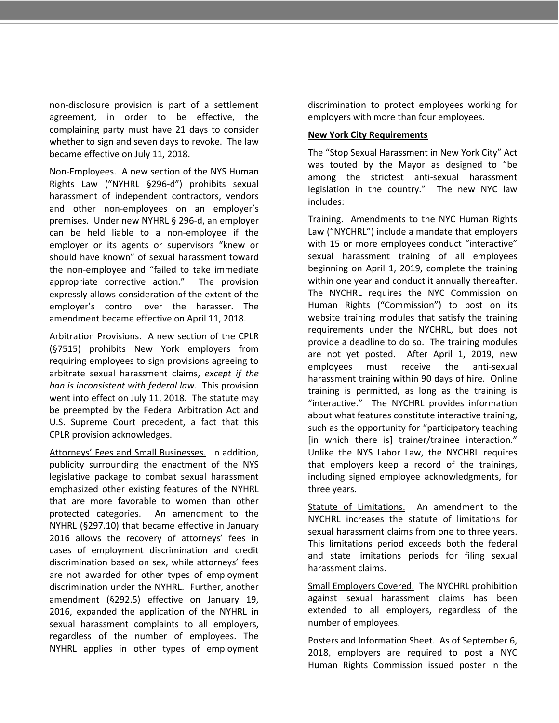non-disclosure provision is part of a settlement agreement, in order to be effective, the complaining party must have 21 days to consider whether to sign and seven days to revoke. The law became effective on July 11, 2018.

Non-Employees. A new section of the NYS Human Rights Law ("NYHRL §296-d") prohibits sexual harassment of independent contractors, vendors and other non-employees on an employer's premises. Under new NYHRL § 296-d, an employer can be held liable to a non-employee if the employer or its agents or supervisors "knew or should have known" of sexual harassment toward the non-employee and "failed to take immediate appropriate corrective action." The provision expressly allows consideration of the extent of the employer's control over the harasser. The amendment became effective on April 11, 2018.

Arbitration Provisions. A new section of the CPLR (§7515) prohibits New York employers from requiring employees to sign provisions agreeing to arbitrate sexual harassment claims, *except if the ban is inconsistent with federal law*. This provision went into effect on July 11, 2018. The statute may be preempted by the Federal Arbitration Act and U.S. Supreme Court precedent, a fact that this CPLR provision acknowledges.

Attorneys' Fees and Small Businesses. In addition, publicity surrounding the enactment of the NYS legislative package to combat sexual harassment emphasized other existing features of the NYHRL that are more favorable to women than other protected categories. An amendment to the NYHRL (§297.10) that became effective in January 2016 allows the recovery of attorneys' fees in cases of employment discrimination and credit discrimination based on sex, while attorneys' fees are not awarded for other types of employment discrimination under the NYHRL. Further, another amendment (§292.5) effective on January 19, 2016, expanded the application of the NYHRL in sexual harassment complaints to all employers, regardless of the number of employees. The NYHRL applies in other types of employment discrimination to protect employees working for employers with more than four employees.

#### **New York City Requirements**

The "Stop Sexual Harassment in New York City" Act was touted by the Mayor as designed to "be among the strictest anti-sexual harassment legislation in the country." The new NYC law includes:

Training. Amendments to the NYC Human Rights Law ("NYCHRL") include a mandate that employers with 15 or more employees conduct "interactive" sexual harassment training of all employees beginning on April 1, 2019, complete the training within one year and conduct it annually thereafter. The NYCHRL requires the NYC Commission on Human Rights ("Commission") to post on its website training modules that satisfy the training requirements under the NYCHRL, but does not provide a deadline to do so. The training modules are not yet posted. After April 1, 2019, new employees must receive the anti-sexual harassment training within 90 days of hire. Online training is permitted, as long as the training is "interactive." The NYCHRL provides information about what features constitute interactive training, such as the opportunity for "participatory teaching [in which there is] trainer/trainee interaction." Unlike the NYS Labor Law, the NYCHRL requires that employers keep a record of the trainings, including signed employee acknowledgments, for three years.

Statute of Limitations. An amendment to the NYCHRL increases the statute of limitations for sexual harassment claims from one to three years. This limitations period exceeds both the federal and state limitations periods for filing sexual harassment claims.

Small Employers Covered. The NYCHRL prohibition against sexual harassment claims has been extended to all employers, regardless of the number of employees.

Posters and Information Sheet. As of September 6, 2018, employers are required to post a NYC Human Rights Commission issued poster in the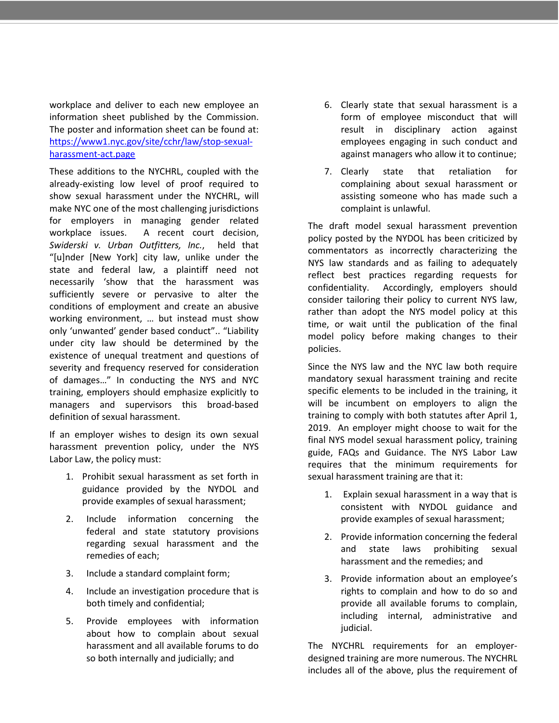workplace and deliver to each new employee an information sheet published by the Commission. The poster and information sheet can be found at: https://www1.nyc.gov/site/cchr/law/stop-sexualharassment-act.page

These additions to the NYCHRL, coupled with the already-existing low level of proof required to show sexual harassment under the NYCHRL, will make NYC one of the most challenging jurisdictions for employers in managing gender related workplace issues. A recent court decision, *Swiderski v. Urban Outfitters, Inc.*, held that "[u]nder [New York] city law, unlike under the state and federal law, a plaintiff need not necessarily 'show that the harassment was sufficiently severe or pervasive to alter the conditions of employment and create an abusive working environment, … but instead must show only 'unwanted' gender based conduct".. "Liability under city law should be determined by the existence of unequal treatment and questions of severity and frequency reserved for consideration of damages…" In conducting the NYS and NYC training, employers should emphasize explicitly to managers and supervisors this broad-based definition of sexual harassment.

If an employer wishes to design its own sexual harassment prevention policy, under the NYS Labor Law, the policy must:

- 1. Prohibit sexual harassment as set forth in guidance provided by the NYDOL and provide examples of sexual harassment;
- 2. Include information concerning the federal and state statutory provisions regarding sexual harassment and the remedies of each;
- 3. Include a standard complaint form;
- 4. Include an investigation procedure that is both timely and confidential;
- 5. Provide employees with information about how to complain about sexual harassment and all available forums to do so both internally and judicially; and
- 6. Clearly state that sexual harassment is a form of employee misconduct that will result in disciplinary action against employees engaging in such conduct and against managers who allow it to continue;
- 7. Clearly state that retaliation for complaining about sexual harassment or assisting someone who has made such a complaint is unlawful.

The draft model sexual harassment prevention policy posted by the NYDOL has been criticized by commentators as incorrectly characterizing the NYS law standards and as failing to adequately reflect best practices regarding requests for confidentiality. Accordingly, employers should consider tailoring their policy to current NYS law, rather than adopt the NYS model policy at this time, or wait until the publication of the final model policy before making changes to their policies.

Since the NYS law and the NYC law both require mandatory sexual harassment training and recite specific elements to be included in the training, it will be incumbent on employers to align the training to comply with both statutes after April 1, 2019. An employer might choose to wait for the final NYS model sexual harassment policy, training guide, FAQs and Guidance. The NYS Labor Law requires that the minimum requirements for sexual harassment training are that it:

- 1. Explain sexual harassment in a way that is consistent with NYDOL guidance and provide examples of sexual harassment;
- 2. Provide information concerning the federal and state laws prohibiting sexual harassment and the remedies; and
- 3. Provide information about an employee's rights to complain and how to do so and provide all available forums to complain, including internal, administrative and judicial.

The NYCHRL requirements for an employerdesigned training are more numerous. The NYCHRL includes all of the above, plus the requirement of